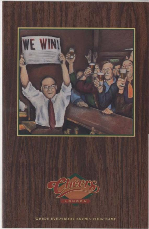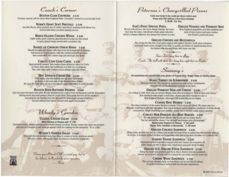# Coach's Corner

**BOSTON CLAM CHOWDER £ 5.75** Creamy, steamy, full of clams, New England-Style "chowdah" served in a sourdough howl.

## **NORM'S GIANT SOFT PRETZELS £3.95**

lust like Norm, these pretzels are of softies and there's nothing small about 'em. Served with three mustard dipping sauces.

## **MAPLE-GLAZED CHICKEN WINGS £ 4.95**

Eddie Lebec gave Carla his grandmother's recipe for this snack of spicy glazed wings served with cucumber dip.

#### **BASKET OF CRUNCHY ONION RINGS £ 2.95**

Woody brought this recipe with him from his hometown in Indiana. Everyone at Cheers agrees, with the cranberry betchup sauce that comes with em, onion rings just don't get any better.

## **CARLA'S CAPE CRAB CAKES £ 5.95**

Appropriately named. Sam makes these delicious cakes for Carla on those days when her crabbiness is a little too contagious. Two crab cakes with Calypso sauce always calm her down.

# HOT SPINACH CHEESE DIP £ 4.25

Cliff swears that this bubbly hot dip with three binds. of cheese is the best east of the Hudson River Valley. He must be right. After all, he is the expert, especially when it comes to dips.

## **BOSTON BEER-BATTERED PRAWNS E 5.95**

Sam hit upon this great idea after Woody blundered the orders from the brewery and the fishmarbet. Having more beer and prawns than he could store. Sam made the best of the situation and now he can barely meet the demand for these fresh prawns tried in a Samuel Adams beer batter. Served with apple horseradish.

Woody's Garden

# **CLASSIC CAESAR SALAD £5.45** With Chicken or Prawns add £1.50

Romaine leaves, shaved parmesan and fresh toasted croutons. Frasier orders this when he ponders schemes of conspiracy and revenge against Lilith for making his life miserable. "Et tu, Lilith."

## **WOODY'S GARDEN SALAD £ 4.95**

You can't loo! an Indiana farm boy when it comes to fresh, delicious salads. This one comes with maple-dijon dressing or cranberry vinaigrette.



Peterson's Chargrilled Pizzas

Carla was lucky if she could get these orders past Norm and Cliff without a few slices missing! £ 12.95 For Two

#### **SAM'S DAILY SPECIAL PIZZA**

**GRILLED VEGGIES AND VERMONT BRIE** 

Woody will tell you, the more things change, the more they stay the same. Ask about today's pizza selection which is always different, but always the tastiest in town. New England vegetables and that sophisticated taste of brie cheese and pesto makes this Frasier's preferred pizza.

## **GRILLED CHICKEN AND MOZZARELLA**

The recipe for this thin crust pizza topped with grilled chicken, fresh plum tomatoes and fresh basil comes straight from Italy. It usually sets Rebecca daydreaming about the Italian villa she and Robin will share one day.

Sam: Let's hang him in offigy." Couch: The hell with that, let's hang him right here in Boston.

Sammy's All sandwiches are served with your choice of French Fries, Veggie Chips or Garden Salad

> **ROAST TURKEY ON SOURDOUGH £6.95** Woody's favorite. The cranberry mayonnaise and turkey combination reminds him of Thanksgiving holidays at the farm.

## **GRILLED VERMONT HAM AND CHEESE £5.95**

According to Cliff, there was an ancient Mayan tribe who worshiped a "God of ham and cheese." This sandwich with maple-cured ham, cheese and dijon mustard is also a New England favorite. Although Cliff would dispute its origins.

### **CORNED BEEF REUBEN £ 6.95**

The sheer mention of the name Reuben reminds Coach of an old friend. His name was Joe. Nobody could figure this one out either. But Coach devised such a delicious sandwich of thinly sliced corned beef, tangy sauerbraut and cheddar cheese that it doesn't really matter anyway.

**CARLA'S NEW ENGLAND ALL-BEEF BURGER £ 6.95** 

No one seems to know exactly why Carla's got so many "beefs." but we named this classic 7 oz. all-beef hamburger after her anyway.

Mushrooms, Peppers or Onions £.50 each Bacon, Brie, Cheddar or Mozzarella £.50 each

**GRILLED CHICKEN SANDWICH £ 6.95** 

Diane came up with this one in college and would not have been accepted into the sorority without its recipe. It includes grilled chicken and vegetables with glazed smoked cheddar on a ciabatta roll.

> **GARDEN VEGGIE SANDWICH E 5.95** Marinated grilled vegetables topped with brie cheese on a toasted roll.

> Lilith swears by this to keep one's mind keen and one's hody healthy.

**GRILLED U.S. SIRLOIN STEAK SANDWICH £7.95** 

Being the steak-and-potatoes guy he is, this is Norm's favorite sandwich. Served on a toasted clabatta roll, it's a lunch he can really sink his teeth into.

## **CHEERS WRAP SANDWICH £5.95**

This special changes daily, as does Rebecca's mood. But it's always on grilled bread and stuffed with her favorite ingredients.